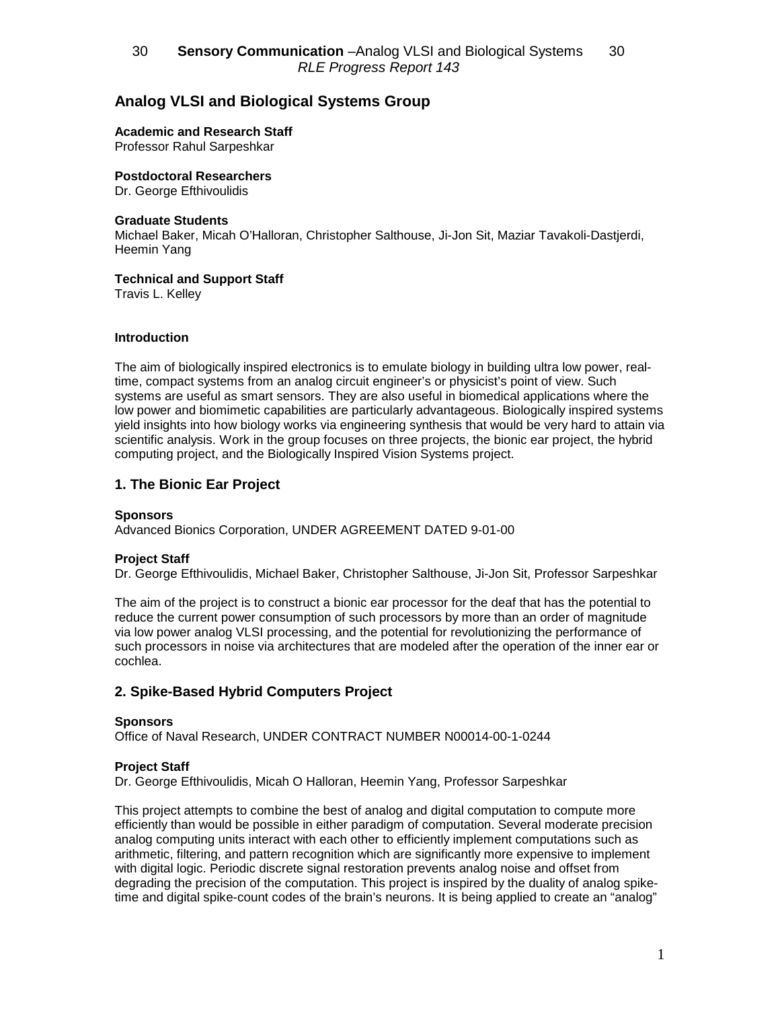## 30 **- Sensory Communication** –Analog VLSI and Biological Systems - 30 RLE Progress Report 143

# **Analog VLSI and Biological Systems Group**

**Academic and Research Staff**

Professor Rahul Sarpeshkar

**Postdoctoral Researchers** Dr. George Efthivoulidis

#### **Graduate Students**

Michael Baker, Micah O'Halloran, Christopher Salthouse, Ji-Jon Sit, Maziar Tavakoli-Dastjerdi, Heemin Yang

#### **Technical and Support Staff**

Travis L. Kelley

#### **Introduction**

The aim of biologically inspired electronics is to emulate biology in building ultra low power, realtime, compact systems from an analog circuit engineer's or physicist's point of view. Such systems are useful as smart sensors. They are also useful in biomedical applications where the low power and biomimetic capabilities are particularly advantageous. Biologically inspired systems yield insights into how biology works via engineering synthesis that would be very hard to attain via scientific analysis. Work in the group focuses on three projects, the bionic ear project, the hybrid computing project, and the Biologically Inspired Vision Systems project.

### **1. The Bionic Ear Project**

#### **Sponsors**

Advanced Bionics Corporation, UNDER AGREEMENT DATED 9-01-00

#### **Project Staff**

Dr. George Efthivoulidis, Michael Baker, Christopher Salthouse, Ji-Jon Sit, Professor Sarpeshkar

The aim of the project is to construct a bionic ear processor for the deaf that has the potential to reduce the current power consumption of such processors by more than an order of magnitude via low power analog VLSI processing, and the potential for revolutionizing the performance of such processors in noise via architectures that are modeled after the operation of the inner ear or cochlea.

### **2. Spike-Based Hybrid Computers Project**

#### **Sponsors**

Office of Naval Research, UNDER CONTRACT NUMBER N00014-00-1-0244

#### **Project Staff**

Dr. George Efthivoulidis, Micah O Halloran, Heemin Yang, Professor Sarpeshkar

This project attempts to combine the best of analog and digital computation to compute more efficiently than would be possible in either paradigm of computation. Several moderate precision analog computing units interact with each other to efficiently implement computations such as arithmetic, filtering, and pattern recognition which are significantly more expensive to implement with digital logic. Periodic discrete signal restoration prevents analog noise and offset from degrading the precision of the computation. This project is inspired by the duality of analog spiketime and digital spike-count codes of the brain's neurons. It is being applied to create an "analog"